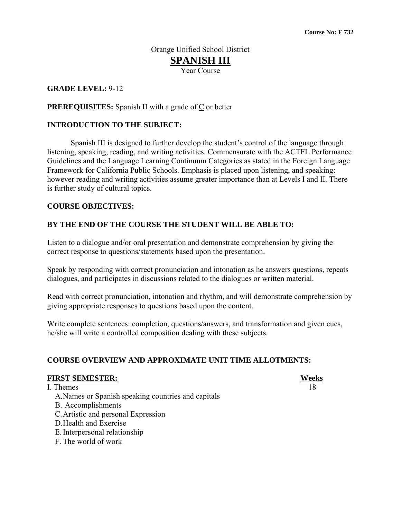# Orange Unified School District **SPANISH III**

Year Course

## **GRADE LEVEL:** 9**-**12

#### **PREREQUISITES:** Spanish II with a grade of  $C$  or better

#### **INTRODUCTION TO THE SUBJECT:**

 Spanish III is designed to further develop the student's control of the language through listening, speaking, reading, and writing activities. Commensurate with the ACTFL Performance Guidelines and the Language Learning Continuum Categories as stated in the Foreign Language Framework for California Public Schools. Emphasis is placed upon listening, and speaking: however reading and writing activities assume greater importance than at Levels I and II. There is further study of cultural topics.

#### **COURSE OBJECTIVES:**

### **BY THE END OF THE COURSE THE STUDENT WILL BE ABLE TO:**

Listen to a dialogue and/or oral presentation and demonstrate comprehension by giving the correct response to questions/statements based upon the presentation.

Speak by responding with correct pronunciation and intonation as he answers questions, repeats dialogues, and participates in discussions related to the dialogues or written material.

Read with correct pronunciation, intonation and rhythm, and will demonstrate comprehension by giving appropriate responses to questions based upon the content.

Write complete sentences: completion, questions/answers, and transformation and given cues, he/she will write a controlled composition dealing with these subjects.

# **COURSE OVERVIEW AND APPROXIMATE UNIT TIME ALLOTMENTS:**

#### **FIRST SEMESTER: Weeks**

## I. Themes 18

- A.Names or Spanish speaking countries and capitals
- B. Accomplishments
- C.Artistic and personal Expression
- D.Health and Exercise
- E.Interpersonal relationship
- F. The world of work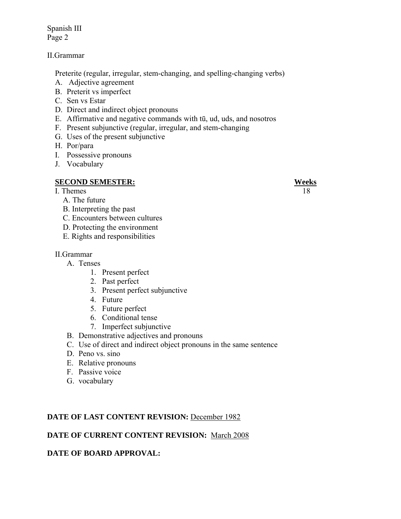Spanish III Page 2

#### II.Grammar

Preterite (regular, irregular, stem-changing, and spelling-changing verbs)

- A. Adjective agreement
- B. Preterit vs imperfect
- C. Sen vs Estar
- D. Direct and indirect object pronouns
- E. Affirmative and negative commands with tū, ud, uds, and nosotros
- F. Present subjunctive (regular, irregular, and stem-changing
- G. Uses of the present subjunctive
- H. Por/para
- I. Possessive pronouns
- J. Vocabulary

### **SECOND SEMESTER: Weeks**

- I. Themes 18
	- A. The future
	- B. Interpreting the past
	- C. Encounters between cultures
	- D. Protecting the environment
	- E. Rights and responsibilities

#### II.Grammar

- A. Tenses
	- 1. Present perfect
	- 2. Past perfect
	- 3. Present perfect subjunctive
	- 4. Future
	- 5. Future perfect
	- 6. Conditional tense
	- 7. Imperfect subjunctive
- B. Demonstrative adjectives and pronouns
- C. Use of direct and indirect object pronouns in the same sentence
- D. Peno vs. sino
- E. Relative pronouns
- F. Passive voice
- G. vocabulary

# DATE OF LAST CONTENT REVISION: December 1982

# **DATE OF CURRENT CONTENT REVISION:** March 2008

# **DATE OF BOARD APPROVAL:**